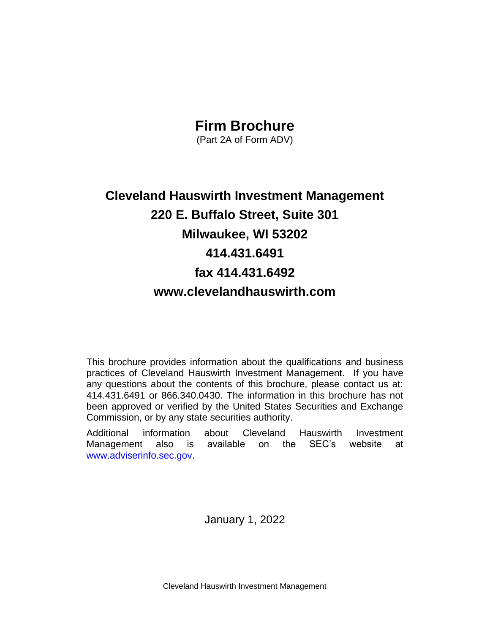# **Firm Brochure**

(Part 2A of Form ADV)

# **Cleveland Hauswirth Investment Management 220 E. Buffalo Street, Suite 301 Milwaukee, WI 53202 414.431.6491 fax 414.431.6492 www.clevelandhauswirth.com**

This brochure provides information about the qualifications and business practices of Cleveland Hauswirth Investment Management. If you have any questions about the contents of this brochure, please contact us at: 414.431.6491 or 866.340.0430. The information in this brochure has not been approved or verified by the United States Securities and Exchange Commission, or by any state securities authority.

Additional information about Cleveland Hauswirth Investment Management also is available on the SEC's website at [www.adviserinfo.sec.gov.](http://www.adviserinfo.sec.gov/)

January 1, 2022

Cleveland Hauswirth Investment Management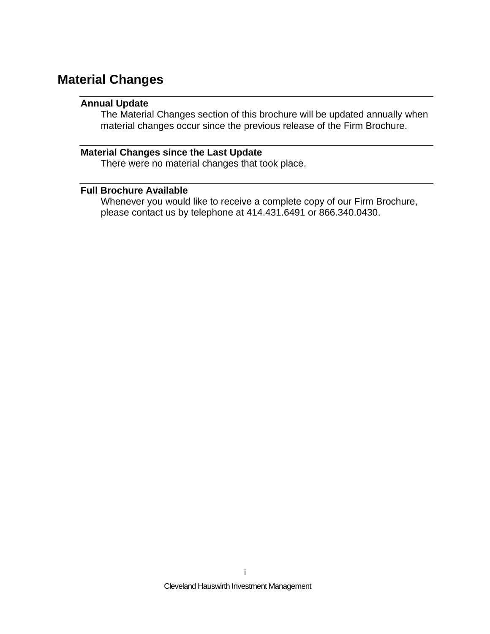# <span id="page-1-1"></span><span id="page-1-0"></span>**Material Changes**

# **Annual Update**

The Material Changes section of this brochure will be updated annually when material changes occur since the previous release of the Firm Brochure.

### <span id="page-1-2"></span>**Material Changes since the Last Update**

There were no material changes that took place.

# <span id="page-1-3"></span>**Full Brochure Available**

Whenever you would like to receive a complete copy of our Firm Brochure, please contact us by telephone at 414.431.6491 or 866.340.0430.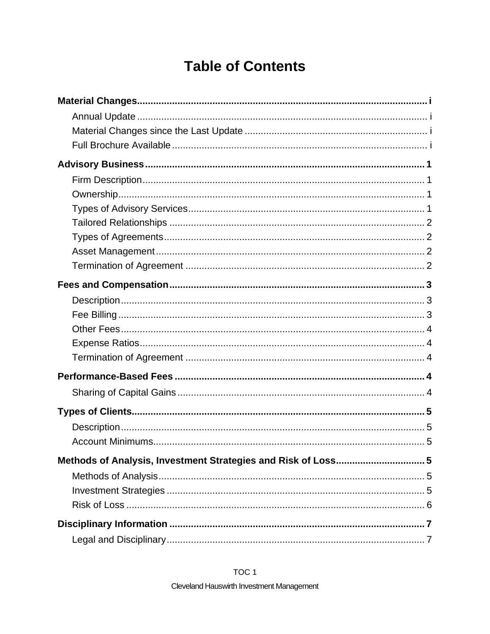# **Table of Contents**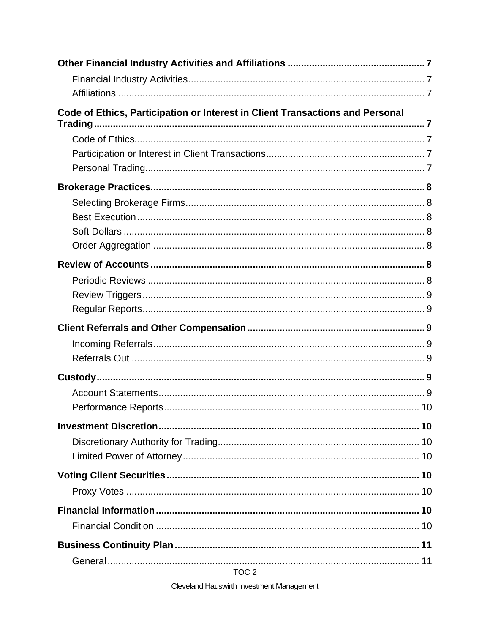| Code of Ethics, Participation or Interest in Client Transactions and Personal |  |
|-------------------------------------------------------------------------------|--|
|                                                                               |  |
|                                                                               |  |
|                                                                               |  |
|                                                                               |  |
|                                                                               |  |
|                                                                               |  |
|                                                                               |  |
|                                                                               |  |
|                                                                               |  |
|                                                                               |  |
|                                                                               |  |
|                                                                               |  |
|                                                                               |  |
|                                                                               |  |
|                                                                               |  |
|                                                                               |  |
|                                                                               |  |
|                                                                               |  |
|                                                                               |  |
|                                                                               |  |
|                                                                               |  |
|                                                                               |  |
|                                                                               |  |
|                                                                               |  |
|                                                                               |  |
|                                                                               |  |
|                                                                               |  |

TOC<sub>2</sub>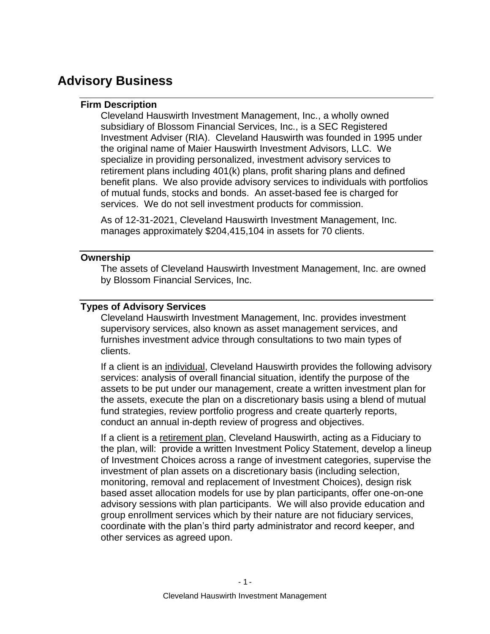# <span id="page-5-1"></span><span id="page-5-0"></span>**Advisory Business**

## **Firm Description**

Cleveland Hauswirth Investment Management, Inc., a wholly owned subsidiary of Blossom Financial Services, Inc., is a SEC Registered Investment Adviser (RIA). Cleveland Hauswirth was founded in 1995 under the original name of Maier Hauswirth Investment Advisors, LLC. We specialize in providing personalized, investment advisory services to retirement plans including 401(k) plans, profit sharing plans and defined benefit plans. We also provide advisory services to individuals with portfolios of mutual funds, stocks and bonds. An asset-based fee is charged for services. We do not sell investment products for commission.

As of 12-31-2021, Cleveland Hauswirth Investment Management, Inc. manages approximately \$204,415,104 in assets for 70 clients.

### <span id="page-5-2"></span>**Ownership**

The assets of Cleveland Hauswirth Investment Management, Inc. are owned by Blossom Financial Services, Inc.

### <span id="page-5-3"></span>**Types of Advisory Services**

Cleveland Hauswirth Investment Management, Inc. provides investment supervisory services, also known as asset management services, and furnishes investment advice through consultations to two main types of clients.

If a client is an individual, Cleveland Hauswirth provides the following advisory services: analysis of overall financial situation, identify the purpose of the assets to be put under our management, create a written investment plan for the assets, execute the plan on a discretionary basis using a blend of mutual fund strategies, review portfolio progress and create quarterly reports, conduct an annual in-depth review of progress and objectives.

If a client is a retirement plan, Cleveland Hauswirth, acting as a Fiduciary to the plan, will: provide a written Investment Policy Statement, develop a lineup of Investment Choices across a range of investment categories, supervise the investment of plan assets on a discretionary basis (including selection, monitoring, removal and replacement of Investment Choices), design risk based asset allocation models for use by plan participants, offer one-on-one advisory sessions with plan participants. We will also provide education and group enrollment services which by their nature are not fiduciary services, coordinate with the plan's third party administrator and record keeper, and other services as agreed upon.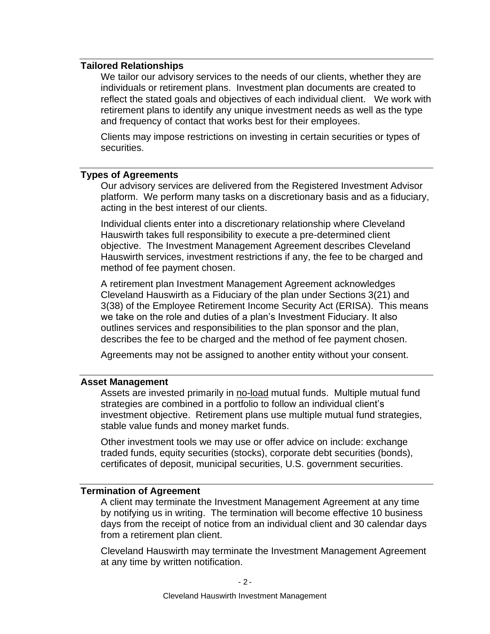#### <span id="page-6-0"></span>**Tailored Relationships**

We tailor our advisory services to the needs of our clients, whether they are individuals or retirement plans. Investment plan documents are created to reflect the stated goals and objectives of each individual client. We work with retirement plans to identify any unique investment needs as well as the type and frequency of contact that works best for their employees.

Clients may impose restrictions on investing in certain securities or types of securities.

## <span id="page-6-1"></span>**Types of Agreements**

Our advisory services are delivered from the Registered Investment Advisor platform. We perform many tasks on a discretionary basis and as a fiduciary, acting in the best interest of our clients.

Individual clients enter into a discretionary relationship where Cleveland Hauswirth takes full responsibility to execute a pre-determined client objective. The Investment Management Agreement describes Cleveland Hauswirth services, investment restrictions if any, the fee to be charged and method of fee payment chosen.

A retirement plan Investment Management Agreement acknowledges Cleveland Hauswirth as a Fiduciary of the plan under Sections 3(21) and 3(38) of the Employee Retirement Income Security Act (ERISA). This means we take on the role and duties of a plan's Investment Fiduciary. It also outlines services and responsibilities to the plan sponsor and the plan, describes the fee to be charged and the method of fee payment chosen.

Agreements may not be assigned to another entity without your consent.

#### <span id="page-6-2"></span>**Asset Management**

Assets are invested primarily in no-load mutual funds. Multiple mutual fund strategies are combined in a portfolio to follow an individual client's investment objective. Retirement plans use multiple mutual fund strategies, stable value funds and money market funds.

Other investment tools we may use or offer advice on include: exchange traded funds, equity securities (stocks), corporate debt securities (bonds), certificates of deposit, municipal securities, U.S. government securities.

#### <span id="page-6-3"></span>**Termination of Agreement**

A client may terminate the Investment Management Agreement at any time by notifying us in writing. The termination will become effective 10 business days from the receipt of notice from an individual client and 30 calendar days from a retirement plan client.

Cleveland Hauswirth may terminate the Investment Management Agreement at any time by written notification.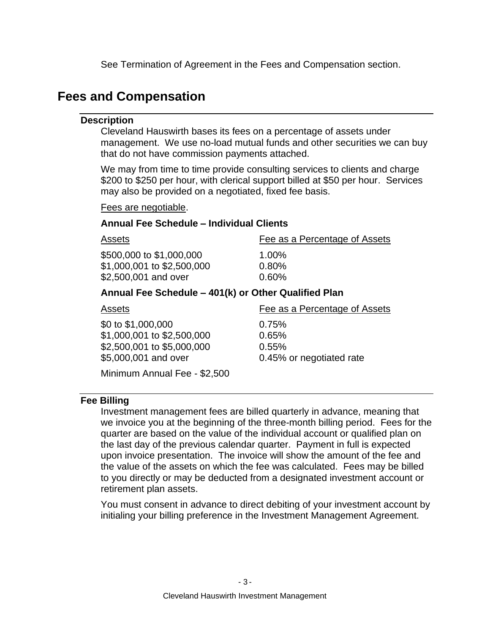See Termination of Agreement in the Fees and Compensation section.

# <span id="page-7-1"></span><span id="page-7-0"></span>**Fees and Compensation**

### **Description**

Cleveland Hauswirth bases its fees on a percentage of assets under management. We use no-load mutual funds and other securities we can buy that do not have commission payments attached.

We may from time to time provide consulting services to clients and charge \$200 to \$250 per hour, with clerical support billed at \$50 per hour. Services may also be provided on a negotiated, fixed fee basis.

Fees are negotiable.

### **Annual Fee Schedule – Individual Clients**

\$500,000 to \$1,000,000 1.00% \$1,000,001 to \$2,500,000 0.80% \$2,500,001 and over 0.60%

Assets **Fee as a Percentage of Assets** 

## **Annual Fee Schedule – 401(k) or Other Qualified Plan**

#### Assets **Fee as a Percentage of Assets**

\$0 to \$1,000,000 0.75% \$1,000,001 to \$2,500,000 0.65% \$2,500,001 to \$5,000,000 0.55% \$5,000,001 and over 0.45% or negotiated rate

Minimum Annual Fee - \$2,500

### <span id="page-7-2"></span>**Fee Billing**

Investment management fees are billed quarterly in advance, meaning that we invoice you at the beginning of the three-month billing period. Fees for the quarter are based on the value of the individual account or qualified plan on the last day of the previous calendar quarter. Payment in full is expected upon invoice presentation. The invoice will show the amount of the fee and the value of the assets on which the fee was calculated. Fees may be billed to you directly or may be deducted from a designated investment account or retirement plan assets.

You must consent in advance to direct debiting of your investment account by initialing your billing preference in the Investment Management Agreement.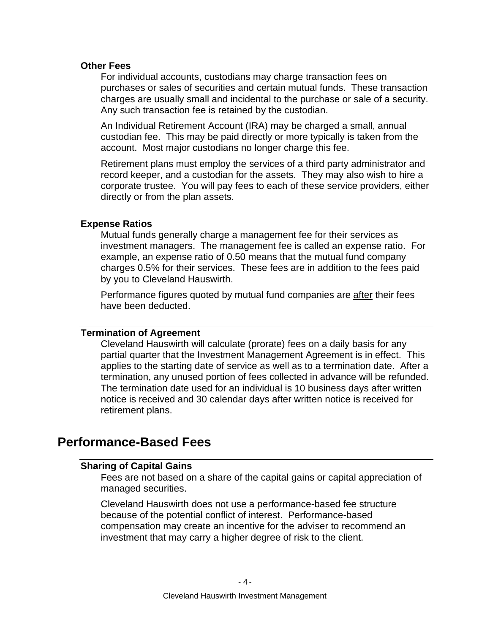### <span id="page-8-0"></span>**Other Fees**

For individual accounts, custodians may charge transaction fees on purchases or sales of securities and certain mutual funds. These transaction charges are usually small and incidental to the purchase or sale of a security. Any such transaction fee is retained by the custodian.

An Individual Retirement Account (IRA) may be charged a small, annual custodian fee. This may be paid directly or more typically is taken from the account. Most major custodians no longer charge this fee.

Retirement plans must employ the services of a third party administrator and record keeper, and a custodian for the assets. They may also wish to hire a corporate trustee. You will pay fees to each of these service providers, either directly or from the plan assets.

#### <span id="page-8-1"></span>**Expense Ratios**

Mutual funds generally charge a management fee for their services as investment managers. The management fee is called an expense ratio. For example, an expense ratio of 0.50 means that the mutual fund company charges 0.5% for their services. These fees are in addition to the fees paid by you to Cleveland Hauswirth.

Performance figures quoted by mutual fund companies are after their fees have been deducted.

#### <span id="page-8-2"></span>**Termination of Agreement**

Cleveland Hauswirth will calculate (prorate) fees on a daily basis for any partial quarter that the Investment Management Agreement is in effect. This applies to the starting date of service as well as to a termination date. After a termination, any unused portion of fees collected in advance will be refunded. The termination date used for an individual is 10 business days after written notice is received and 30 calendar days after written notice is received for retirement plans.

# <span id="page-8-4"></span><span id="page-8-3"></span>**Performance-Based Fees**

#### **Sharing of Capital Gains**

Fees are not based on a share of the capital gains or capital appreciation of managed securities.

Cleveland Hauswirth does not use a performance-based fee structure because of the potential conflict of interest. Performance-based compensation may create an incentive for the adviser to recommend an investment that may carry a higher degree of risk to the client.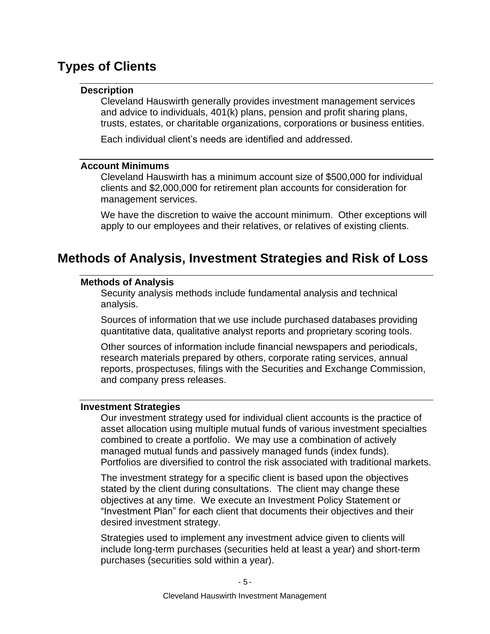# <span id="page-9-1"></span><span id="page-9-0"></span>**Types of Clients**

## **Description**

Cleveland Hauswirth generally provides investment management services and advice to individuals, 401(k) plans, pension and profit sharing plans, trusts, estates, or charitable organizations, corporations or business entities.

Each individual client's needs are identified and addressed.

### <span id="page-9-2"></span>**Account Minimums**

Cleveland Hauswirth has a minimum account size of \$500,000 for individual clients and \$2,000,000 for retirement plan accounts for consideration for management services.

We have the discretion to waive the account minimum. Other exceptions will apply to our employees and their relatives, or relatives of existing clients.

# <span id="page-9-4"></span><span id="page-9-3"></span>**Methods of Analysis, Investment Strategies and Risk of Loss**

### **Methods of Analysis**

Security analysis methods include fundamental analysis and technical analysis.

Sources of information that we use include purchased databases providing quantitative data, qualitative analyst reports and proprietary scoring tools.

Other sources of information include financial newspapers and periodicals, research materials prepared by others, corporate rating services, annual reports, prospectuses, filings with the Securities and Exchange Commission, and company press releases.

#### <span id="page-9-5"></span>**Investment Strategies**

Our investment strategy used for individual client accounts is the practice of asset allocation using multiple mutual funds of various investment specialties combined to create a portfolio. We may use a combination of actively managed mutual funds and passively managed funds (index funds). Portfolios are diversified to control the risk associated with traditional markets.

The investment strategy for a specific client is based upon the objectives stated by the client during consultations. The client may change these objectives at any time. We execute an Investment Policy Statement or "Investment Plan" for each client that documents their objectives and their desired investment strategy.

Strategies used to implement any investment advice given to clients will include long-term purchases (securities held at least a year) and short-term purchases (securities sold within a year).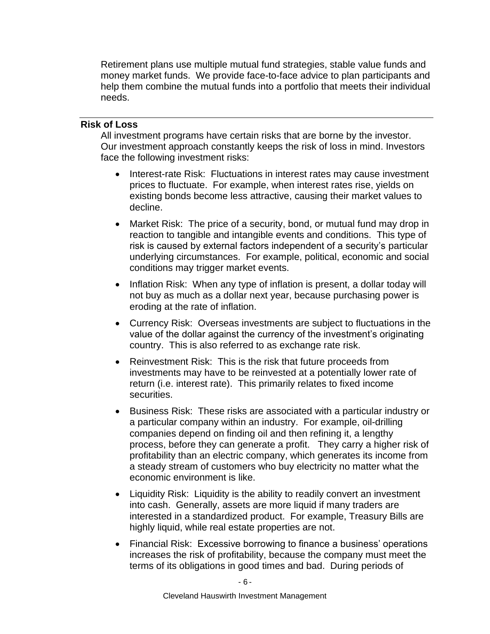Retirement plans use multiple mutual fund strategies, stable value funds and money market funds. We provide face-to-face advice to plan participants and help them combine the mutual funds into a portfolio that meets their individual needs.

## <span id="page-10-0"></span>**Risk of Loss**

All investment programs have certain risks that are borne by the investor. Our investment approach constantly keeps the risk of loss in mind. Investors face the following investment risks:

- Interest-rate Risk: Fluctuations in interest rates may cause investment prices to fluctuate. For example, when interest rates rise, yields on existing bonds become less attractive, causing their market values to decline.
- Market Risk: The price of a security, bond, or mutual fund may drop in reaction to tangible and intangible events and conditions. This type of risk is caused by external factors independent of a security's particular underlying circumstances. For example, political, economic and social conditions may trigger market events.
- Inflation Risk: When any type of inflation is present, a dollar today will not buy as much as a dollar next year, because purchasing power is eroding at the rate of inflation.
- Currency Risk: Overseas investments are subject to fluctuations in the value of the dollar against the currency of the investment's originating country. This is also referred to as exchange rate risk.
- Reinvestment Risk: This is the risk that future proceeds from investments may have to be reinvested at a potentially lower rate of return (i.e. interest rate). This primarily relates to fixed income securities.
- Business Risk: These risks are associated with a particular industry or a particular company within an industry. For example, oil-drilling companies depend on finding oil and then refining it, a lengthy process, before they can generate a profit. They carry a higher risk of profitability than an electric company, which generates its income from a steady stream of customers who buy electricity no matter what the economic environment is like.
- Liquidity Risk: Liquidity is the ability to readily convert an investment into cash. Generally, assets are more liquid if many traders are interested in a standardized product. For example, Treasury Bills are highly liquid, while real estate properties are not.
- Financial Risk: Excessive borrowing to finance a business' operations increases the risk of profitability, because the company must meet the terms of its obligations in good times and bad. During periods of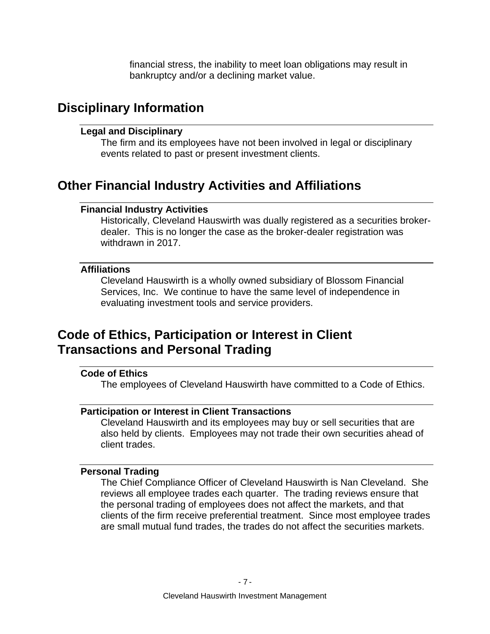financial stress, the inability to meet loan obligations may result in bankruptcy and/or a declining market value.

# <span id="page-11-1"></span><span id="page-11-0"></span>**Disciplinary Information**

#### **Legal and Disciplinary**

The firm and its employees have not been involved in legal or disciplinary events related to past or present investment clients.

# <span id="page-11-3"></span><span id="page-11-2"></span>**Other Financial Industry Activities and Affiliations**

#### **Financial Industry Activities**

Historically, Cleveland Hauswirth was dually registered as a securities brokerdealer. This is no longer the case as the broker-dealer registration was withdrawn in 2017.

#### <span id="page-11-4"></span>**Affiliations**

Cleveland Hauswirth is a wholly owned subsidiary of Blossom Financial Services, Inc. We continue to have the same level of independence in evaluating investment tools and service providers.

# <span id="page-11-6"></span><span id="page-11-5"></span>**Code of Ethics, Participation or Interest in Client Transactions and Personal Trading**

### **Code of Ethics**

The employees of Cleveland Hauswirth have committed to a Code of Ethics.

#### <span id="page-11-7"></span>**Participation or Interest in Client Transactions**

Cleveland Hauswirth and its employees may buy or sell securities that are also held by clients. Employees may not trade their own securities ahead of client trades.

#### <span id="page-11-8"></span>**Personal Trading**

The Chief Compliance Officer of Cleveland Hauswirth is Nan Cleveland. She reviews all employee trades each quarter. The trading reviews ensure that the personal trading of employees does not affect the markets, and that clients of the firm receive preferential treatment. Since most employee trades are small mutual fund trades, the trades do not affect the securities markets.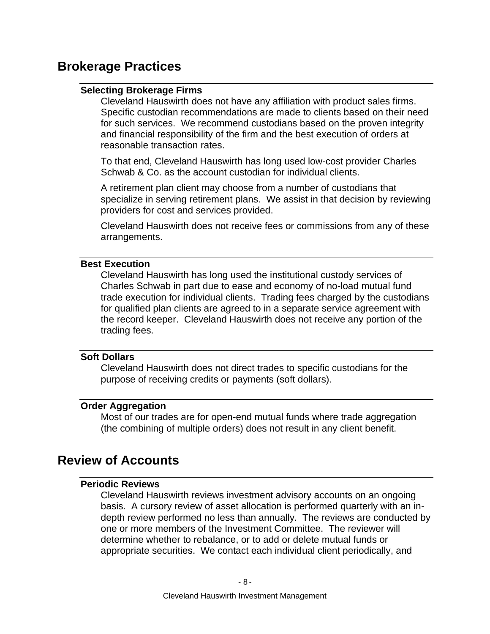# <span id="page-12-1"></span><span id="page-12-0"></span>**Brokerage Practices**

### **Selecting Brokerage Firms**

Cleveland Hauswirth does not have any affiliation with product sales firms. Specific custodian recommendations are made to clients based on their need for such services. We recommend custodians based on the proven integrity and financial responsibility of the firm and the best execution of orders at reasonable transaction rates.

To that end, Cleveland Hauswirth has long used low-cost provider Charles Schwab & Co. as the account custodian for individual clients.

A retirement plan client may choose from a number of custodians that specialize in serving retirement plans. We assist in that decision by reviewing providers for cost and services provided.

Cleveland Hauswirth does not receive fees or commissions from any of these arrangements.

### <span id="page-12-2"></span>**Best Execution**

Cleveland Hauswirth has long used the institutional custody services of Charles Schwab in part due to ease and economy of no-load mutual fund trade execution for individual clients. Trading fees charged by the custodians for qualified plan clients are agreed to in a separate service agreement with the record keeper. Cleveland Hauswirth does not receive any portion of the trading fees.

### <span id="page-12-3"></span>**Soft Dollars**

Cleveland Hauswirth does not direct trades to specific custodians for the purpose of receiving credits or payments (soft dollars).

### <span id="page-12-4"></span>**Order Aggregation**

Most of our trades are for open-end mutual funds where trade aggregation (the combining of multiple orders) does not result in any client benefit.

# <span id="page-12-6"></span><span id="page-12-5"></span>**Review of Accounts**

#### **Periodic Reviews**

Cleveland Hauswirth reviews investment advisory accounts on an ongoing basis. A cursory review of asset allocation is performed quarterly with an indepth review performed no less than annually. The reviews are conducted by one or more members of the Investment Committee. The reviewer will determine whether to rebalance, or to add or delete mutual funds or appropriate securities. We contact each individual client periodically, and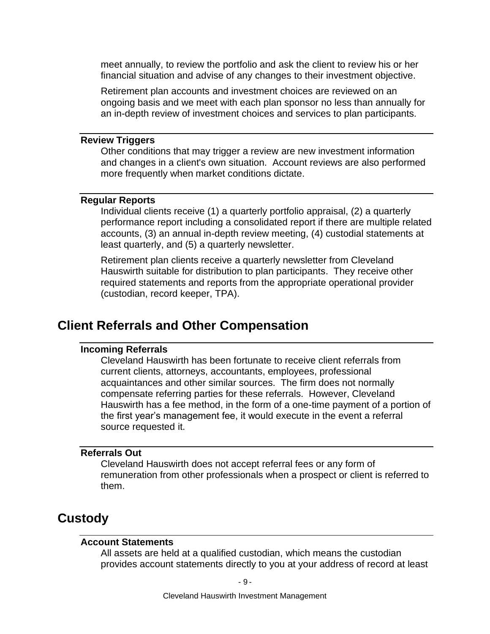meet annually, to review the portfolio and ask the client to review his or her financial situation and advise of any changes to their investment objective.

Retirement plan accounts and investment choices are reviewed on an ongoing basis and we meet with each plan sponsor no less than annually for an in-depth review of investment choices and services to plan participants.

#### <span id="page-13-0"></span>**Review Triggers**

Other conditions that may trigger a review are new investment information and changes in a client's own situation. Account reviews are also performed more frequently when market conditions dictate.

#### <span id="page-13-1"></span>**Regular Reports**

Individual clients receive (1) a quarterly portfolio appraisal, (2) a quarterly performance report including a consolidated report if there are multiple related accounts, (3) an annual in-depth review meeting, (4) custodial statements at least quarterly, and (5) a quarterly newsletter.

Retirement plan clients receive a quarterly newsletter from Cleveland Hauswirth suitable for distribution to plan participants. They receive other required statements and reports from the appropriate operational provider (custodian, record keeper, TPA).

# <span id="page-13-3"></span><span id="page-13-2"></span>**Client Referrals and Other Compensation**

#### **Incoming Referrals**

Cleveland Hauswirth has been fortunate to receive client referrals from current clients, attorneys, accountants, employees, professional acquaintances and other similar sources. The firm does not normally compensate referring parties for these referrals. However, Cleveland Hauswirth has a fee method, in the form of a one-time payment of a portion of the first year's management fee, it would execute in the event a referral source requested it.

#### <span id="page-13-4"></span>**Referrals Out**

Cleveland Hauswirth does not accept referral fees or any form of remuneration from other professionals when a prospect or client is referred to them.

# <span id="page-13-6"></span><span id="page-13-5"></span>**Custody**

#### **Account Statements**

All assets are held at a qualified custodian, which means the custodian provides account statements directly to you at your address of record at least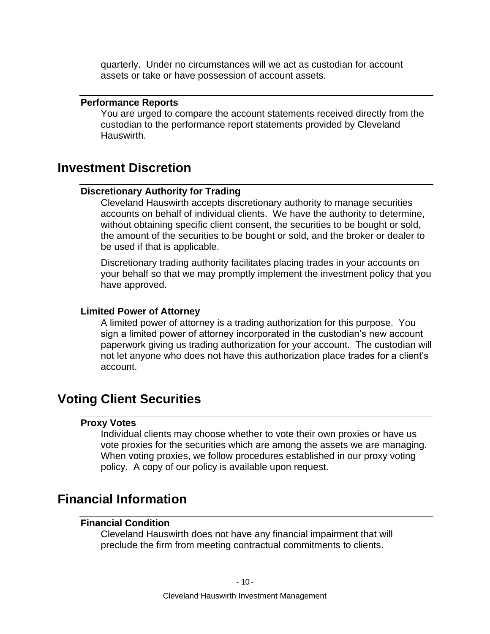quarterly. Under no circumstances will we act as custodian for account assets or take or have possession of account assets.

#### <span id="page-14-0"></span>**Performance Reports**

You are urged to compare the account statements received directly from the custodian to the performance report statements provided by Cleveland Hauswirth.

# <span id="page-14-2"></span><span id="page-14-1"></span>**Investment Discretion**

#### **Discretionary Authority for Trading**

Cleveland Hauswirth accepts discretionary authority to manage securities accounts on behalf of individual clients. We have the authority to determine, without obtaining specific client consent, the securities to be bought or sold, the amount of the securities to be bought or sold, and the broker or dealer to be used if that is applicable.

Discretionary trading authority facilitates placing trades in your accounts on your behalf so that we may promptly implement the investment policy that you have approved.

#### <span id="page-14-3"></span>**Limited Power of Attorney**

A limited power of attorney is a trading authorization for this purpose. You sign a limited power of attorney incorporated in the custodian's new account paperwork giving us trading authorization for your account. The custodian will not let anyone who does not have this authorization place trades for a client's account.

# <span id="page-14-5"></span><span id="page-14-4"></span>**Voting Client Securities**

#### **Proxy Votes**

Individual clients may choose whether to vote their own proxies or have us vote proxies for the securities which are among the assets we are managing. When voting proxies, we follow procedures established in our proxy voting policy. A copy of our policy is available upon request.

# <span id="page-14-7"></span><span id="page-14-6"></span>**Financial Information**

#### **Financial Condition**

Cleveland Hauswirth does not have any financial impairment that will preclude the firm from meeting contractual commitments to clients.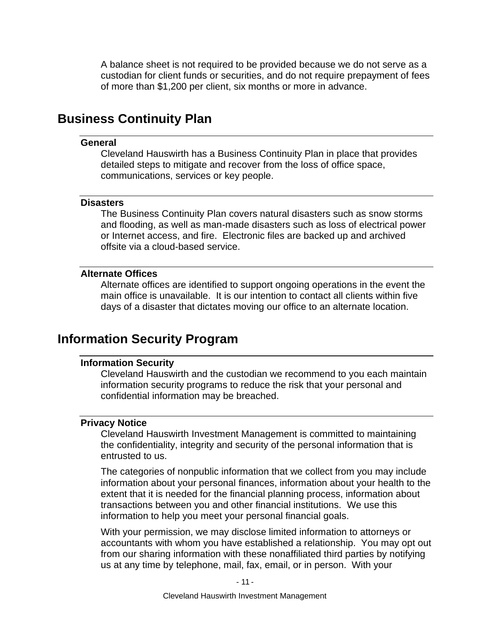A balance sheet is not required to be provided because we do not serve as a custodian for client funds or securities, and do not require prepayment of fees of more than \$1,200 per client, six months or more in advance.

# <span id="page-15-1"></span><span id="page-15-0"></span>**Business Continuity Plan**

#### **General**

Cleveland Hauswirth has a Business Continuity Plan in place that provides detailed steps to mitigate and recover from the loss of office space, communications, services or key people.

### <span id="page-15-2"></span>**Disasters**

The Business Continuity Plan covers natural disasters such as snow storms and flooding, as well as man-made disasters such as loss of electrical power or Internet access, and fire. Electronic files are backed up and archived offsite via a cloud-based service.

#### <span id="page-15-3"></span>**Alternate Offices**

Alternate offices are identified to support ongoing operations in the event the main office is unavailable. It is our intention to contact all clients within five days of a disaster that dictates moving our office to an alternate location.

# <span id="page-15-5"></span><span id="page-15-4"></span>**Information Security Program**

### **Information Security**

Cleveland Hauswirth and the custodian we recommend to you each maintain information security programs to reduce the risk that your personal and confidential information may be breached.

#### <span id="page-15-6"></span>**Privacy Notice**

Cleveland Hauswirth Investment Management is committed to maintaining the confidentiality, integrity and security of the personal information that is entrusted to us.

The categories of nonpublic information that we collect from you may include information about your personal finances, information about your health to the extent that it is needed for the financial planning process, information about transactions between you and other financial institutions. We use this information to help you meet your personal financial goals.

With your permission, we may disclose limited information to attorneys or accountants with whom you have established a relationship. You may opt out from our sharing information with these nonaffiliated third parties by notifying us at any time by telephone, mail, fax, email, or in person. With your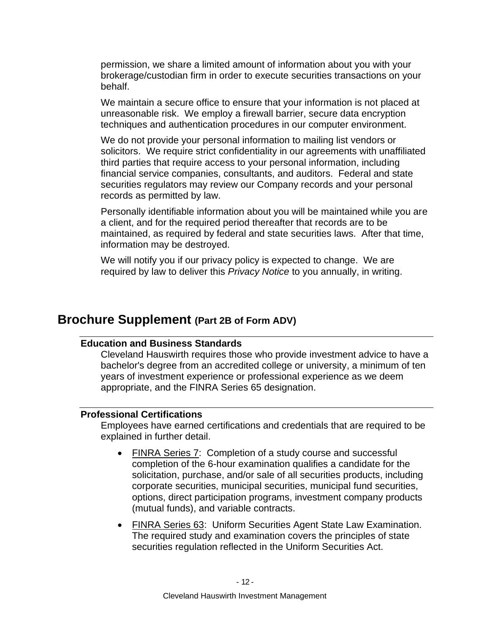permission, we share a limited amount of information about you with your brokerage/custodian firm in order to execute securities transactions on your behalf.

We maintain a secure office to ensure that your information is not placed at unreasonable risk. We employ a firewall barrier, secure data encryption techniques and authentication procedures in our computer environment.

We do not provide your personal information to mailing list vendors or solicitors. We require strict confidentiality in our agreements with unaffiliated third parties that require access to your personal information, including financial service companies, consultants, and auditors. Federal and state securities regulators may review our Company records and your personal records as permitted by law.

Personally identifiable information about you will be maintained while you are a client, and for the required period thereafter that records are to be maintained, as required by federal and state securities laws. After that time, information may be destroyed.

We will notify you if our privacy policy is expected to change. We are required by law to deliver this *Privacy Notice* to you annually, in writing.

# <span id="page-16-1"></span><span id="page-16-0"></span>**Brochure Supplement (Part 2B of Form ADV)**

#### **Education and Business Standards**

Cleveland Hauswirth requires those who provide investment advice to have a bachelor's degree from an accredited college or university, a minimum of ten years of investment experience or professional experience as we deem appropriate, and the FINRA Series 65 designation.

## <span id="page-16-2"></span>**Professional Certifications**

Employees have earned certifications and credentials that are required to be explained in further detail.

- FINRA Series 7: Completion of a study course and successful completion of the 6-hour examination qualifies a candidate for the solicitation, purchase, and/or sale of all securities products, including corporate securities, municipal securities, municipal fund securities, options, direct participation programs, investment company products (mutual funds), and variable contracts.
- FINRA Series 63: Uniform Securities Agent State Law Examination. The required study and examination covers the principles of state securities regulation reflected in the Uniform Securities Act.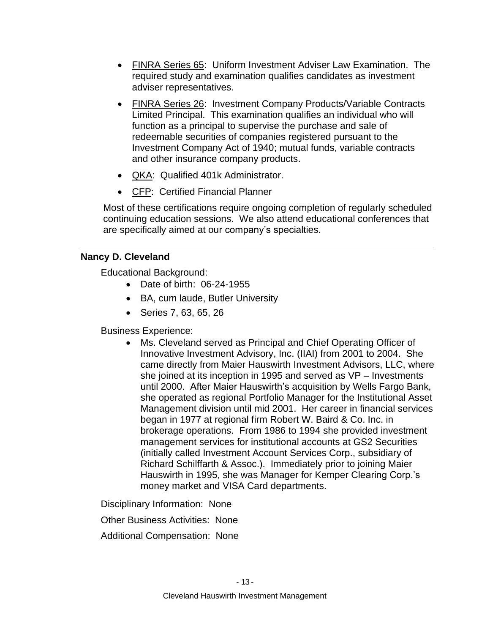- FINRA Series 65: Uniform Investment Adviser Law Examination. The required study and examination qualifies candidates as investment adviser representatives.
- FINRA Series 26: Investment Company Products/Variable Contracts Limited Principal. This examination qualifies an individual who will function as a principal to supervise the purchase and sale of redeemable securities of companies registered pursuant to the Investment Company Act of 1940; mutual funds, variable contracts and other insurance company products.
- QKA: Qualified 401k Administrator.
- CFP: Certified Financial Planner

Most of these certifications require ongoing completion of regularly scheduled continuing education sessions. We also attend educational conferences that are specifically aimed at our company's specialties.

### <span id="page-17-0"></span>**Nancy D. Cleveland**

Educational Background:

- Date of birth: 06-24-1955
- BA, cum laude, Butler University
- Series 7, 63, 65, 26

Business Experience:

• Ms. Cleveland served as Principal and Chief Operating Officer of Innovative Investment Advisory, Inc. (IIAI) from 2001 to 2004. She came directly from Maier Hauswirth Investment Advisors, LLC, where she joined at its inception in 1995 and served as VP – Investments until 2000. After Maier Hauswirth's acquisition by Wells Fargo Bank, she operated as regional Portfolio Manager for the Institutional Asset Management division until mid 2001. Her career in financial services began in 1977 at regional firm Robert W. Baird & Co. Inc. in brokerage operations. From 1986 to 1994 she provided investment management services for institutional accounts at GS2 Securities (initially called Investment Account Services Corp., subsidiary of Richard Schilffarth & Assoc.). Immediately prior to joining Maier Hauswirth in 1995, she was Manager for Kemper Clearing Corp.'s money market and VISA Card departments.

Disciplinary Information: None

Other Business Activities: None

Additional Compensation: None